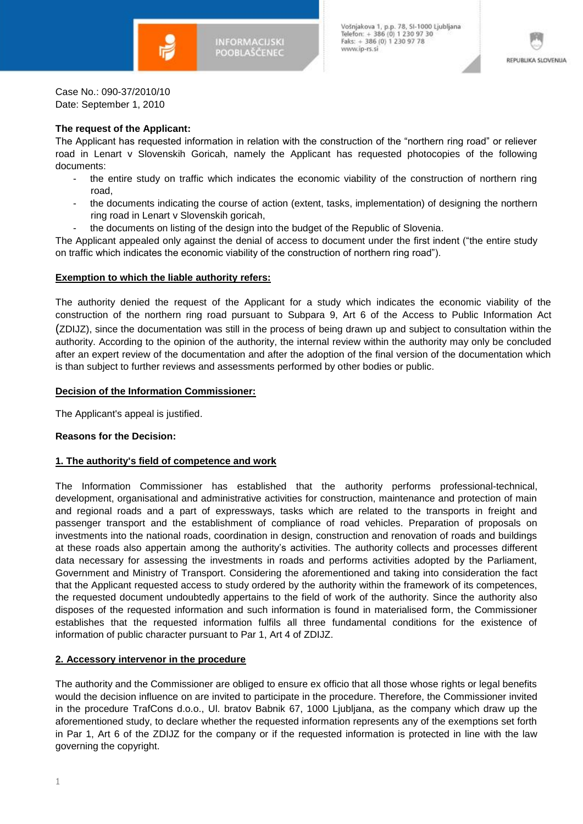

**INFORMACUSKI** POOBLAŠČENEC

Vošnjakova 1, p.p. 78, SI-1000 Ljubljana<br>Telefon: + 386 (0) 1 230 97 30<br>Faks: + 386 (0) 1 230 97 78 www.ip-rs.si



Case No.: 090-37/2010/10 Date: September 1, 2010

# **The request of the Applicant:**

The Applicant has requested information in relation with the construction of the "northern ring road" or reliever road in Lenart v Slovenskih Goricah, namely the Applicant has requested photocopies of the following documents:

- the entire study on traffic which indicates the economic viability of the construction of northern ring road,
- the documents indicating the course of action (extent, tasks, implementation) of designing the northern ring road in Lenart v Slovenskih goricah,
- the documents on listing of the design into the budget of the Republic of Slovenia.

The Applicant appealed only against the denial of access to document under the first indent ("the entire study on traffic which indicates the economic viability of the construction of northern ring road").

### **Exemption to which the liable authority refers:**

The authority denied the request of the Applicant for a study which indicates the economic viability of the construction of the northern ring road pursuant to Subpara 9, Art 6 of the Access to Public Information Act (ZDIJZ), since the documentation was still in the process of being drawn up and subject to consultation within the authority. According to the opinion of the authority, the internal review within the authority may only be concluded after an expert review of the documentation and after the adoption of the final version of the documentation which is than subject to further reviews and assessments performed by other bodies or public.

### **Decision of the Information Commissioner:**

The Applicant's appeal is justified.

# **Reasons for the Decision:**

# **1. The authority's field of competence and work**

The Information Commissioner has established that the authority performs professional-technical, development, organisational and administrative activities for construction, maintenance and protection of main and regional roads and a part of expressways, tasks which are related to the transports in freight and passenger transport and the establishment of compliance of road vehicles. Preparation of proposals on investments into the national roads, coordination in design, construction and renovation of roads and buildings at these roads also appertain among the authority's activities. The authority collects and processes different data necessary for assessing the investments in roads and performs activities adopted by the Parliament, Government and Ministry of Transport. Considering the aforementioned and taking into consideration the fact that the Applicant requested access to study ordered by the authority within the framework of its competences, the requested document undoubtedly appertains to the field of work of the authority. Since the authority also disposes of the requested information and such information is found in materialised form, the Commissioner establishes that the requested information fulfils all three fundamental conditions for the existence of information of public character pursuant to Par 1, Art 4 of ZDIJZ.

### **2. Accessory intervenor in the procedure**

The authority and the Commissioner are obliged to ensure ex officio that all those whose rights or legal benefits would the decision influence on are invited to participate in the procedure. Therefore, the Commissioner invited in the procedure TrafCons d.o.o., Ul. bratov Babnik 67, 1000 Ljubljana, as the company which draw up the aforementioned study, to declare whether the requested information represents any of the exemptions set forth in Par 1, Art 6 of the ZDIJZ for the company or if the requested information is protected in line with the law governing the copyright.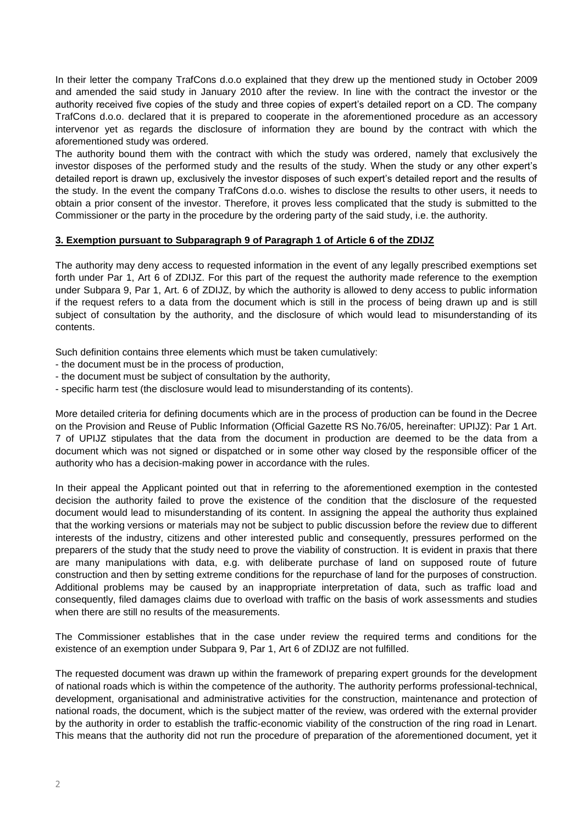In their letter the company TrafCons d.o.o explained that they drew up the mentioned study in October 2009 and amended the said study in January 2010 after the review. In line with the contract the investor or the authority received five copies of the study and three copies of expert's detailed report on a CD. The company TrafCons d.o.o. declared that it is prepared to cooperate in the aforementioned procedure as an accessory intervenor yet as regards the disclosure of information they are bound by the contract with which the aforementioned study was ordered.

The authority bound them with the contract with which the study was ordered, namely that exclusively the investor disposes of the performed study and the results of the study. When the study or any other expert's detailed report is drawn up, exclusively the investor disposes of such expert's detailed report and the results of the study. In the event the company TrafCons d.o.o. wishes to disclose the results to other users, it needs to obtain a prior consent of the investor. Therefore, it proves less complicated that the study is submitted to the Commissioner or the party in the procedure by the ordering party of the said study, i.e. the authority.

# **3. Exemption pursuant to Subparagraph 9 of Paragraph 1 of Article 6 of the ZDIJZ**

The authority may deny access to requested information in the event of any legally prescribed exemptions set forth under Par 1, Art 6 of ZDIJZ. For this part of the request the authority made reference to the exemption under Subpara 9, Par 1, Art. 6 of ZDIJZ, by which the authority is allowed to deny access to public information if the request refers to a data from the document which is still in the process of being drawn up and is still subject of consultation by the authority, and the disclosure of which would lead to misunderstanding of its contents.

Such definition contains three elements which must be taken cumulatively:

- the document must be in the process of production,
- the document must be subject of consultation by the authority,
- specific harm test (the disclosure would lead to misunderstanding of its contents).

More detailed criteria for defining documents which are in the process of production can be found in the Decree on the Provision and Reuse of Public Information (Official Gazette RS No.76/05, hereinafter: UPIJZ): Par 1 Art. 7 of UPIJZ stipulates that the data from the document in production are deemed to be the data from a document which was not signed or dispatched or in some other way closed by the responsible officer of the authority who has a decision-making power in accordance with the rules.

In their appeal the Applicant pointed out that in referring to the aforementioned exemption in the contested decision the authority failed to prove the existence of the condition that the disclosure of the requested document would lead to misunderstanding of its content. In assigning the appeal the authority thus explained that the working versions or materials may not be subject to public discussion before the review due to different interests of the industry, citizens and other interested public and consequently, pressures performed on the preparers of the study that the study need to prove the viability of construction. It is evident in praxis that there are many manipulations with data, e.g. with deliberate purchase of land on supposed route of future construction and then by setting extreme conditions for the repurchase of land for the purposes of construction. Additional problems may be caused by an inappropriate interpretation of data, such as traffic load and consequently, filed damages claims due to overload with traffic on the basis of work assessments and studies when there are still no results of the measurements.

The Commissioner establishes that in the case under review the required terms and conditions for the existence of an exemption under Subpara 9, Par 1, Art 6 of ZDIJZ are not fulfilled.

The requested document was drawn up within the framework of preparing expert grounds for the development of national roads which is within the competence of the authority. The authority performs professional-technical, development, organisational and administrative activities for the construction, maintenance and protection of national roads, the document, which is the subject matter of the review, was ordered with the external provider by the authority in order to establish the traffic-economic viability of the construction of the ring road in Lenart. This means that the authority did not run the procedure of preparation of the aforementioned document, yet it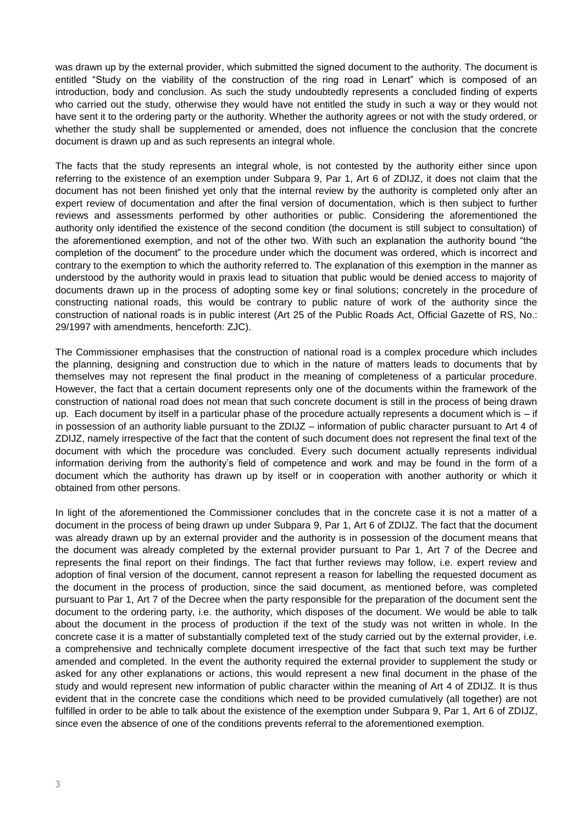was drawn up by the external provider, which submitted the signed document to the authority. The document is entitled "Study on the viability of the construction of the ring road in Lenart" which is composed of an introduction, body and conclusion. As such the study undoubtedly represents a concluded finding of experts who carried out the study, otherwise they would have not entitled the study in such a way or they would not have sent it to the ordering party or the authority. Whether the authority agrees or not with the study ordered, or whether the study shall be supplemented or amended, does not influence the conclusion that the concrete document is drawn up and as such represents an integral whole.

The facts that the study represents an integral whole, is not contested by the authority either since upon referring to the existence of an exemption under Subpara 9, Par 1, Art 6 of ZDIJZ, it does not claim that the document has not been finished yet only that the internal review by the authority is completed only after an expert review of documentation and after the final version of documentation, which is then subject to further reviews and assessments performed by other authorities or public. Considering the aforementioned the authority only identified the existence of the second condition (the document is still subject to consultation) of the aforementioned exemption, and not of the other two. With such an explanation the authority bound "the completion of the document" to the procedure under which the document was ordered, which is incorrect and contrary to the exemption to which the authority referred to. The explanation of this exemption in the manner as understood by the authority would in praxis lead to situation that public would be denied access to majority of documents drawn up in the process of adopting some key or final solutions; concretely in the procedure of constructing national roads, this would be contrary to public nature of work of the authority since the construction of national roads is in public interest (Art 25 of the Public Roads Act, Official Gazette of RS, No.: 29/1997 with amendments, henceforth: ZJC).

The Commissioner emphasises that the construction of national road is a complex procedure which includes the planning, designing and construction due to which in the nature of matters leads to documents that by themselves may not represent the final product in the meaning of completeness of a particular procedure. However, the fact that a certain document represents only one of the documents within the framework of the construction of national road does not mean that such concrete document is still in the process of being drawn up. Each document by itself in a particular phase of the procedure actually represents a document which is – if in possession of an authority liable pursuant to the ZDIJZ – information of public character pursuant to Art 4 of ZDIJZ, namely irrespective of the fact that the content of such document does not represent the final text of the document with which the procedure was concluded. Every such document actually represents individual information deriving from the authority's field of competence and work and may be found in the form of a document which the authority has drawn up by itself or in cooperation with another authority or which it obtained from other persons.

In light of the aforementioned the Commissioner concludes that in the concrete case it is not a matter of a document in the process of being drawn up under Subpara 9, Par 1, Art 6 of ZDIJZ. The fact that the document was already drawn up by an external provider and the authority is in possession of the document means that the document was already completed by the external provider pursuant to Par 1, Art 7 of the Decree and represents the final report on their findings. The fact that further reviews may follow, i.e. expert review and adoption of final version of the document, cannot represent a reason for labelling the requested document as the document in the process of production, since the said document, as mentioned before, was completed pursuant to Par 1, Art 7 of the Decree when the party responsible for the preparation of the document sent the document to the ordering party, i.e. the authority, which disposes of the document. We would be able to talk about the document in the process of production if the text of the study was not written in whole. In the concrete case it is a matter of substantially completed text of the study carried out by the external provider, i.e. a comprehensive and technically complete document irrespective of the fact that such text may be further amended and completed. In the event the authority required the external provider to supplement the study or asked for any other explanations or actions, this would represent a new final document in the phase of the study and would represent new information of public character within the meaning of Art 4 of ZDIJZ. It is thus evident that in the concrete case the conditions which need to be provided cumulatively (all together) are not fulfilled in order to be able to talk about the existence of the exemption under Subpara 9, Par 1, Art 6 of ZDIJZ, since even the absence of one of the conditions prevents referral to the aforementioned exemption.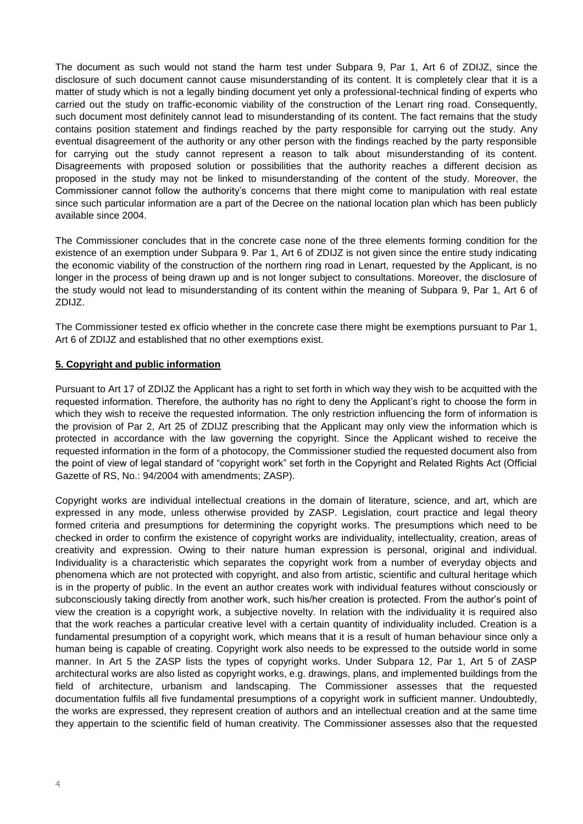The document as such would not stand the harm test under Subpara 9, Par 1, Art 6 of ZDIJZ, since the disclosure of such document cannot cause misunderstanding of its content. It is completely clear that it is a matter of study which is not a legally binding document yet only a professional-technical finding of experts who carried out the study on traffic-economic viability of the construction of the Lenart ring road. Consequently, such document most definitely cannot lead to misunderstanding of its content. The fact remains that the study contains position statement and findings reached by the party responsible for carrying out the study. Any eventual disagreement of the authority or any other person with the findings reached by the party responsible for carrying out the study cannot represent a reason to talk about misunderstanding of its content. Disagreements with proposed solution or possibilities that the authority reaches a different decision as proposed in the study may not be linked to misunderstanding of the content of the study. Moreover, the Commissioner cannot follow the authority's concerns that there might come to manipulation with real estate since such particular information are a part of the Decree on the national location plan which has been publicly available since 2004.

The Commissioner concludes that in the concrete case none of the three elements forming condition for the existence of an exemption under Subpara 9. Par 1, Art 6 of ZDIJZ is not given since the entire study indicating the economic viability of the construction of the northern ring road in Lenart, requested by the Applicant, is no longer in the process of being drawn up and is not longer subject to consultations. Moreover, the disclosure of the study would not lead to misunderstanding of its content within the meaning of Subpara 9, Par 1, Art 6 of ZDIJZ.

The Commissioner tested ex officio whether in the concrete case there might be exemptions pursuant to Par 1, Art 6 of ZDIJZ and established that no other exemptions exist.

# **5. Copyright and public information**

Pursuant to Art 17 of ZDIJZ the Applicant has a right to set forth in which way they wish to be acquitted with the requested information. Therefore, the authority has no right to deny the Applicant's right to choose the form in which they wish to receive the requested information. The only restriction influencing the form of information is the provision of Par 2, Art 25 of ZDIJZ prescribing that the Applicant may only view the information which is protected in accordance with the law governing the copyright. Since the Applicant wished to receive the requested information in the form of a photocopy, the Commissioner studied the requested document also from the point of view of legal standard of "copyright work" set forth in the Copyright and Related Rights Act (Official Gazette of RS, No.: 94/2004 with amendments; ZASP).

Copyright works are individual intellectual creations in the domain of literature, science, and art, which are expressed in any mode, unless otherwise provided by ZASP. Legislation, court practice and legal theory formed criteria and presumptions for determining the copyright works. The presumptions which need to be checked in order to confirm the existence of copyright works are individuality, intellectuality, creation, areas of creativity and expression. Owing to their nature human expression is personal, original and individual. Individuality is a characteristic which separates the copyright work from a number of everyday objects and phenomena which are not protected with copyright, and also from artistic, scientific and cultural heritage which is in the property of public. In the event an author creates work with individual features without consciously or subconsciously taking directly from another work, such his/her creation is protected. From the author's point of view the creation is a copyright work, a subjective novelty. In relation with the individuality it is required also that the work reaches a particular creative level with a certain quantity of individuality included. Creation is a fundamental presumption of a copyright work, which means that it is a result of human behaviour since only a human being is capable of creating. Copyright work also needs to be expressed to the outside world in some manner. In Art 5 the ZASP lists the types of copyright works. Under Subpara 12, Par 1, Art 5 of ZASP architectural works are also listed as copyright works, e.g. drawings, plans, and implemented buildings from the field of architecture, urbanism and landscaping. The Commissioner assesses that the requested documentation fulfils all five fundamental presumptions of a copyright work in sufficient manner. Undoubtedly, the works are expressed, they represent creation of authors and an intellectual creation and at the same time they appertain to the scientific field of human creativity. The Commissioner assesses also that the requested